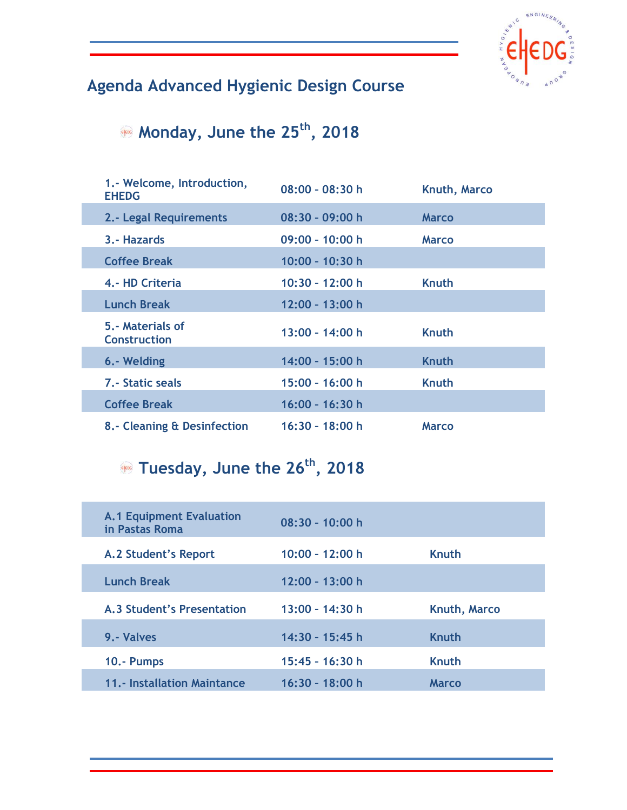

## **Agenda Advanced Hygienic Design Course**

## **Monday, June the 25th, 2018**

| 1.- Welcome, Introduction,<br><b>EHEDG</b> | $08:00 - 08:30 h$ | Knuth, Marco |
|--------------------------------------------|-------------------|--------------|
| 2.- Legal Requirements                     | $08:30 - 09:00 h$ | <b>Marco</b> |
| 3.- Hazards                                | $09:00 - 10:00 h$ | <b>Marco</b> |
| <b>Coffee Break</b>                        | 10:00 - 10:30 h   |              |
| 4.- HD Criteria                            | 10:30 - 12:00 h   | <b>Knuth</b> |
| <b>Lunch Break</b>                         | 12:00 - 13:00 h   |              |
| 5.- Materials of<br><b>Construction</b>    | $13:00 - 14:00 h$ | <b>Knuth</b> |
| 6.- Welding                                | 14:00 - 15:00 h   | Knuth        |
| <b>7.- Static seals</b>                    | $15:00 - 16:00 h$ | <b>Knuth</b> |
| <b>Coffee Break</b>                        | 16:00 - 16:30 h   |              |
| 8.- Cleaning & Desinfection                | $16:30 - 18:00 h$ | <b>Marco</b> |

## **Tuesday, June the 26th, 2018**

| <b>A.1 Equipment Evaluation</b><br>in Pastas Roma | $08:30 - 10:00 h$ |                     |
|---------------------------------------------------|-------------------|---------------------|
| A.2 Student's Report                              | $10:00 - 12:00 h$ | <b>Knuth</b>        |
| <b>Lunch Break</b>                                | 12:00 - 13:00 h   |                     |
| A.3 Student's Presentation                        | $13:00 - 14:30 h$ | <b>Knuth, Marco</b> |
| 9. - Valves                                       | 14:30 - 15:45 h   | Knuth               |
| 10.- Pumps                                        | $15:45 - 16:30 h$ | <b>Knuth</b>        |
| 11.- Installation Maintance                       | 16:30 - 18:00 h   | <b>Marco</b>        |